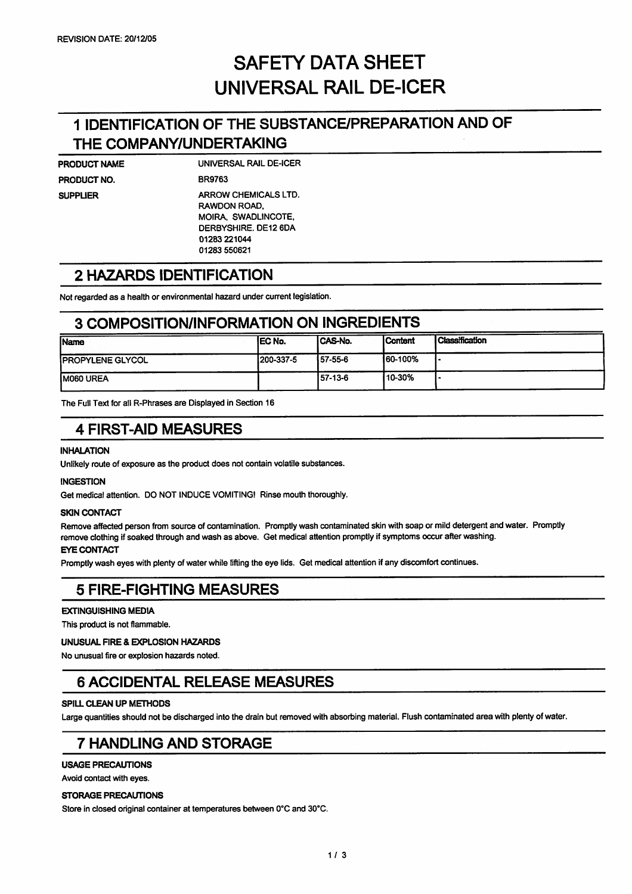# *SAFETY DATA SHEET UNIVERSAL RAIL DE-ICER*

## *1 IDENTIFICATION OF THE SUBSTANCE/PREPARATION AND OF THE COMPANY/UNDERTAKING*

| PRODUCT NAME |  |
|--------------|--|
| PRODUCT NO.  |  |
| SUPPLIER     |  |
|              |  |
|              |  |
|              |  |

UNIVERSAL RAIL DE-ICER BR9763 ARROW CHEMICALS LTD. RAWDON ROAD, MOIRA, SWADLINCOTE. DERBYSHIRE. DE12 6DA 01283 221044 01283 550621

### *2 HAZARDS IDENTIFICATION*

Not regarded as a health or environmental hazard under current legislation.

### *3 COMPOSITION/INFORMATION ON INGREDIENTS*

| <b>Name</b>              | <b>IEC No.</b> | ICAS-No. | l Content | <b>Classification</b> |
|--------------------------|----------------|----------|-----------|-----------------------|
| <b>IPROPYLENE GLYCOL</b> | 1200-337-5     | 57-55-6  | 160-100%  |                       |
| <b>IMO60 UREA</b>        |                | 157-13-6 | '10-30%   |                       |

The Full Text for all R-Phrases are Displayed in Section 16

### *4 FIRST-AID MEASURES*

#### *INHALATION*

Unlikely route of exposure as the product does not contain volatile substances.

### *INGESTION*

Get medical attention. DO NOT INDUCE VOMITING! Rinse mouth thoroughly.

#### *SKIN CONTACT*

Remove affected person from source of contamination. Promptly wash contaminated skin with soap or mild detergent and water. Promptly remove clothing if soaked through and wash as above. Get medical attention promptly if symptoms occur after washing.

### *EYE CONTACT*

Promptly wash eyes with plenty of water while lifting the eye lids. Get medical attention if any discomfort continues.

### *5 FIRE-FIGHTING MEASURES*

#### *EXTINGUISHING MEDIA*

This product is not flammable.

### *UNUSUAL FIRE & EXPLOSION HAZARDS*

No unusual fire or explosion hazards noted.

### *6 ACCIDENTAL RELEASE MEASURES*

#### *SPILL CLEAN UP METHODS*

Large quantities should not be discharged into the drain but removed with absorbing material. Flush contaminated area with plenty of water.

### *7 HANDLING AND STORAGE*

#### *USAGE PRECAUTIONS*

Avoid contact with eyes.

#### *STORAGE PRECAUTIONS*

Store in closed original container at temperatures between 0°C and 30°C.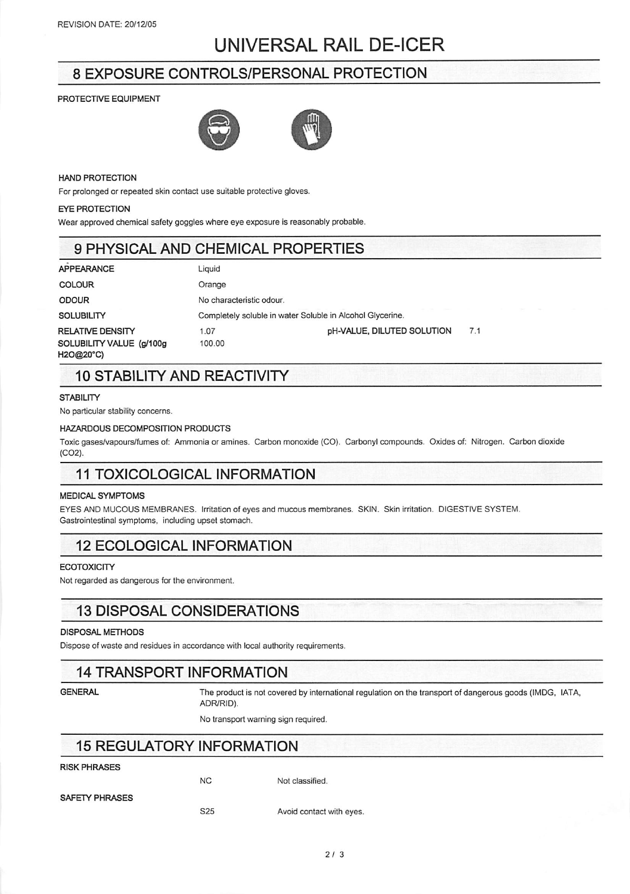## UNIVERSAL RAIL DE-ICER

### 8 EXPOSURE CONTROLS/PERSONAL PROTECTION

#### *PROTECTIVE EQUIPMENT*



#### *HAND PROTECTION*

For prolonged or repeated skin contact use suitable protective gloves.

#### *EYE PROTECTION*

Wear approved chemical safety goggles where eye exposure is reasonably probable.

### 9 PHYSICAL AND CHEMICAL PROPERTIES

| <b>APPEARANCE</b>                     | Liquid                                                    |                                   |     |  |  |  |
|---------------------------------------|-----------------------------------------------------------|-----------------------------------|-----|--|--|--|
| <b>COLOUR</b>                         | Orange                                                    |                                   |     |  |  |  |
| <b>ODOUR</b>                          | No characteristic odour.                                  |                                   |     |  |  |  |
| <b>SOLUBILITY</b>                     | Completely soluble in water Soluble in Alcohol Glycerine. |                                   |     |  |  |  |
| <b>RELATIVE DENSITY</b>               | 1.07                                                      | <b>pH-VALUE, DILUTED SOLUTION</b> | 7.1 |  |  |  |
| SOLUBILITY VALUE (g/100g<br>H2O@20°C) | 100.00                                                    |                                   |     |  |  |  |

### 10 STABILITY AND REACTIVITY

#### *STABILITY*

No particular stability concerns.

#### *HAZARDOUS DECOMPOSITION PRODUCTS*

Toxic gases/vapours/fumes of: Ammonia or amines. Carbon monoxide (CO). Carbonyl compounds. Oxides of: Nitrogen. Carbon dioxide (C02).

### 11 TOXICOLOGICAL INFORMATION

#### *MEDICAL SYMPTOMS*

EYES AND MUCOUS MEMBRANES. Irritation of eyes and mucous membranes. SKIN. Skin irritation, DIGESTIVE SYSTEM. Gastrointestinal symptoms, including upset stomach.

### 12 ECOLOGICAL INFORMATION

#### *ECOTOXICITY*

Not regarded as dangerous for the environment.

### 13 DISPOSAL CONSIDERATIONS

#### *DISPOSAL METHODS*

Dispose of waste and residues in accordance with local authority requirements.

### 14 TRANSPORT INFORMATION

GENERAL **The product is not covered by international regulation on the transport of dangerous goods (IMDG, IATA,** ADR/RID).

No transport warning sign required.

### 15 REGULATORY INFORMATION

### *RISK PHRASES*

NC Not classified.

*SAFETY PHRASES*

S25 Avoid contact with eyes.